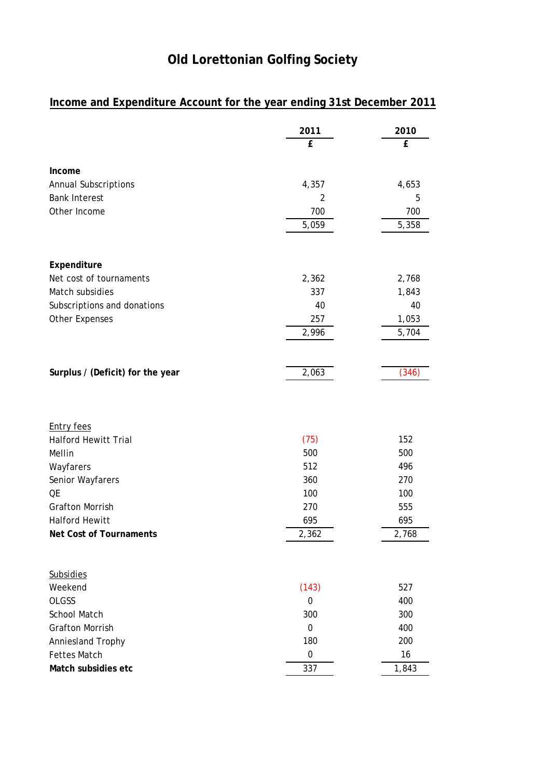## **Old Lorettonian Golfing Society**

## **Income and Expenditure Account for the year ending 31st December 2011**

|                                          | 2011             | 2010  |
|------------------------------------------|------------------|-------|
|                                          | £                | £     |
|                                          |                  |       |
| Income                                   |                  |       |
| <b>Annual Subscriptions</b>              | 4,357            | 4,653 |
| <b>Bank Interest</b>                     | 2                | 5     |
| Other Income                             | 700              | 700   |
|                                          | 5,059            | 5,358 |
|                                          |                  |       |
|                                          |                  |       |
| Expenditure                              |                  |       |
| Net cost of tournaments                  | 2,362            | 2,768 |
| Match subsidies                          | 337              | 1,843 |
| Subscriptions and donations              | 40               | 40    |
| <b>Other Expenses</b>                    | 257              | 1,053 |
|                                          | 2,996            | 5,704 |
|                                          |                  |       |
| Surplus / (Deficit) for the year         | 2,063            | (346) |
|                                          |                  |       |
|                                          |                  |       |
|                                          |                  |       |
| <b>Entry fees</b>                        |                  |       |
| <b>Halford Hewitt Trial</b>              | (75)             | 152   |
| Mellin                                   | 500              | 500   |
| Wayfarers                                | 512              | 496   |
| Senior Wayfarers                         | 360              | 270   |
| QE                                       | 100              | 100   |
| <b>Grafton Morrish</b>                   | 270              | 555   |
| <b>Halford Hewitt</b>                    | 695              | 695   |
| Net Cost of Tournaments                  | 2,362            | 2,768 |
|                                          |                  |       |
|                                          |                  |       |
| <b>Subsidies</b><br>Weekend              |                  | 527   |
| <b>OLGSS</b>                             | (143)<br>0       | 400   |
| School Match                             | 300              | 300   |
| <b>Grafton Morrish</b>                   | 0                | 400   |
|                                          | 180              | 200   |
| Anniesland Trophy<br><b>Fettes Match</b> | $\boldsymbol{0}$ | 16    |
| Match subsidies etc                      | 337              | 1,843 |
|                                          |                  |       |